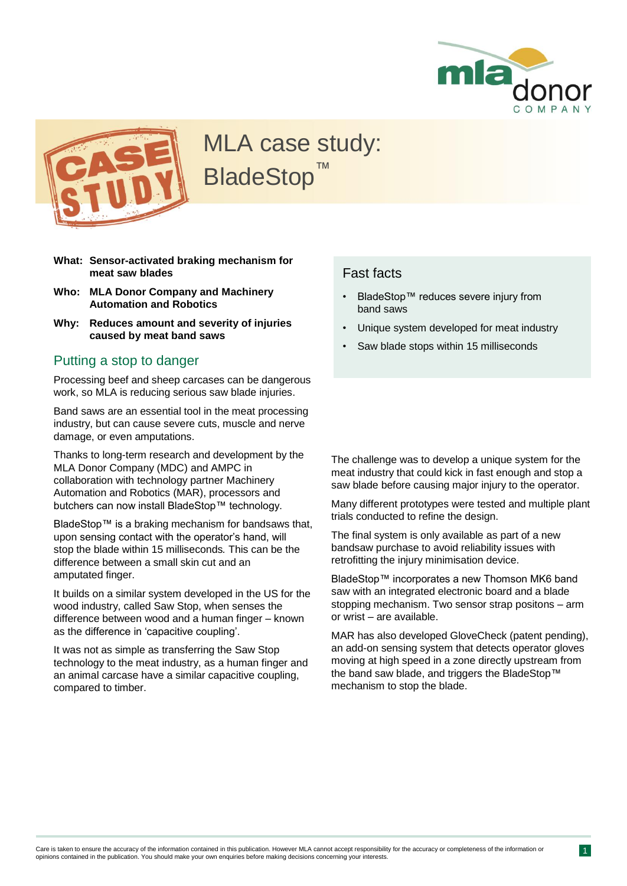



# MLA case study: **BladeStop**

- **What: Sensor-activated braking mechanism for meat saw blades**
- **Who: MLA Donor Company and Machinery Automation and Robotics**
- **Why: Reduces amount and severity of injuries caused by meat band saws**

#### Putting a stop to danger

Processing beef and sheep carcases can be dangerous work, so MLA is reducing serious saw blade injuries.

Band saws are an essential tool in the meat processing industry, but can cause severe cuts, muscle and nerve damage, or even amputations.

Thanks to long-term research and development by the MLA Donor Company (MDC) and AMPC in collaboration with technology partner Machinery Automation and Robotics (MAR), processors and butchers can now install BladeStop™ technology.

BladeStop™ is a braking mechanism for bandsaws that, upon sensing contact with the operator's hand, will stop the blade within 15 milliseconds*.* This can be the difference between a small skin cut and an amputated finger.

It builds on a similar system developed in the US for the wood industry, called Saw Stop, when senses the difference between wood and a human finger – known as the difference in 'capacitive coupling'.

It was not as simple as transferring the Saw Stop technology to the meat industry, as a human finger and an animal carcase have a similar capacitive coupling, compared to timber.

### Fast facts

- BladeStop™ reduces severe injury from band saws
- Unique system developed for meat industry
- Saw blade stops within 15 milliseconds

The challenge was to develop a unique system for the meat industry that could kick in fast enough and stop a saw blade before causing major injury to the operator.

Many different prototypes were tested and multiple plant trials conducted to refine the design.

The final system is only available as part of a new bandsaw purchase to avoid reliability issues with retrofitting the injury minimisation device.

BladeStop™ incorporates a new Thomson MK6 band saw with an integrated electronic board and a blade stopping mechanism. Two sensor strap positons – arm or wrist – are available.

MAR has also developed GloveCheck (patent pending), an add-on sensing system that detects operator gloves moving at high speed in a zone directly upstream from the band saw blade, and triggers the BladeStop™ mechanism to stop the blade.